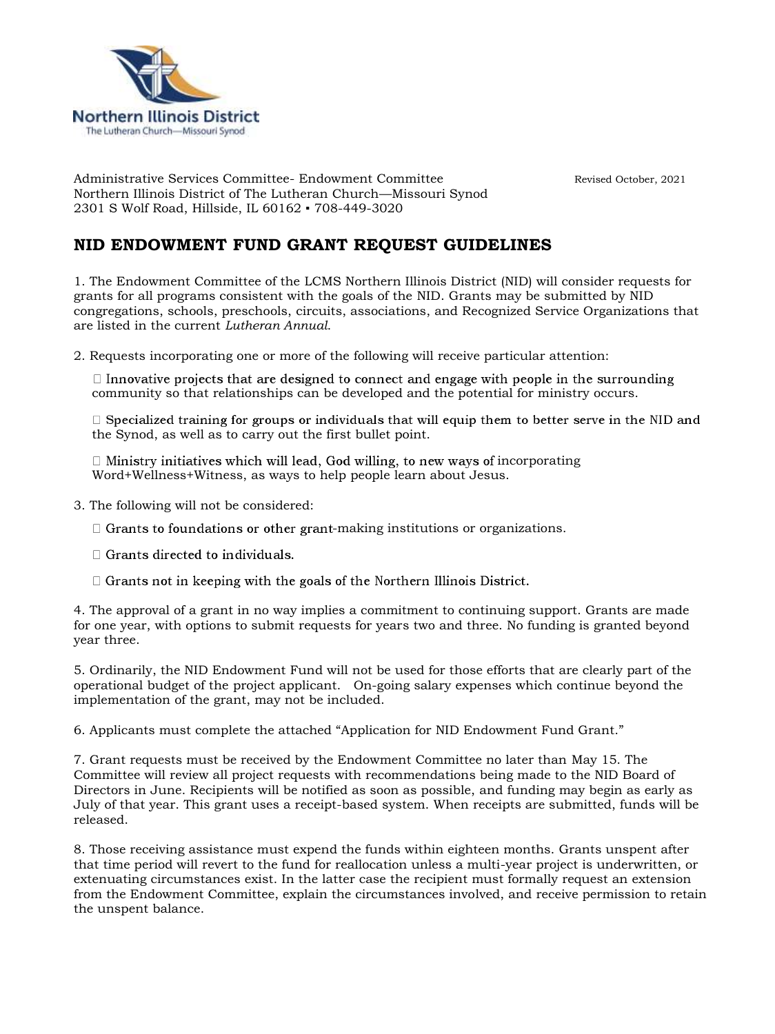

Administrative Services Committee- Endowment Committee Revised October, 2021 Northern Illinois District of The Lutheran Church—Missouri Synod 2301 S Wolf Road, Hillside, IL 60162 ▪ 708-449-3020

## **NID ENDOWMENT FUND GRANT REQUEST GUIDELINES**

1. The Endowment Committee of the LCMS Northern Illinois District (NID) will consider requests for grants for all programs consistent with the goals of the NID. Grants may be submitted by NID congregations, schools, preschools, circuits, associations, and Recognized Service Organizations that are listed in the current *Lutheran Annual*.

2. Requests incorporating one or more of the following will receive particular attention:

 $\Box$  Innovative projects that are designed to connect and engage with people in the surrounding community so that relationships can be developed and the potential for ministry occurs.

 $\Box$  Specialized training for groups or individuals that will equip them to better serve in the NID and the Synod, as well as to carry out the first bullet point.

 $\Box$  Ministry initiatives which will lead, God willing, to new ways of incorporating Word+Wellness+Witness, as ways to help people learn about Jesus.

- 3. The following will not be considered:
	- $\Box$  Grants to foundations or other grant-making institutions or organizations.
	- $\Box$  Grants directed to individuals.
	- $\Box$  Grants not in keeping with the goals of the Northern Illinois District.

4. The approval of a grant in no way implies a commitment to continuing support. Grants are made for one year, with options to submit requests for years two and three. No funding is granted beyond year three.

5. Ordinarily, the NID Endowment Fund will not be used for those efforts that are clearly part of the operational budget of the project applicant. On-going salary expenses which continue beyond the implementation of the grant, may not be included.

6. Applicants must complete the attached "Application for NID Endowment Fund Grant."

7. Grant requests must be received by the Endowment Committee no later than May 15. The Committee will review all project requests with recommendations being made to the NID Board of Directors in June. Recipients will be notified as soon as possible, and funding may begin as early as July of that year. This grant uses a receipt-based system. When receipts are submitted, funds will be released.

8. Those receiving assistance must expend the funds within eighteen months. Grants unspent after that time period will revert to the fund for reallocation unless a multi-year project is underwritten, or extenuating circumstances exist. In the latter case the recipient must formally request an extension from the Endowment Committee, explain the circumstances involved, and receive permission to retain the unspent balance.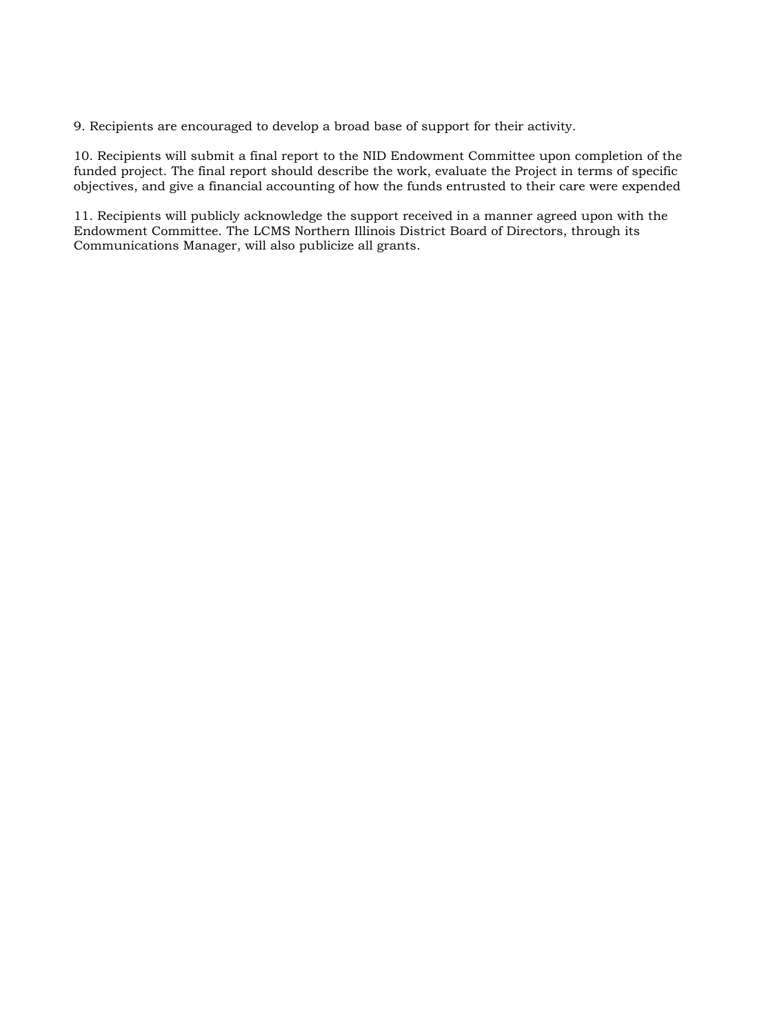9. Recipients are encouraged to develop a broad base of support for their activity.

10. Recipients will submit a final report to the NID Endowment Committee upon completion of the funded project. The final report should describe the work, evaluate the Project in terms of specific objectives, and give a financial accounting of how the funds entrusted to their care were expended

11. Recipients will publicly acknowledge the support received in a manner agreed upon with the Endowment Committee. The LCMS Northern Illinois District Board of Directors, through its Communications Manager, will also publicize all grants.